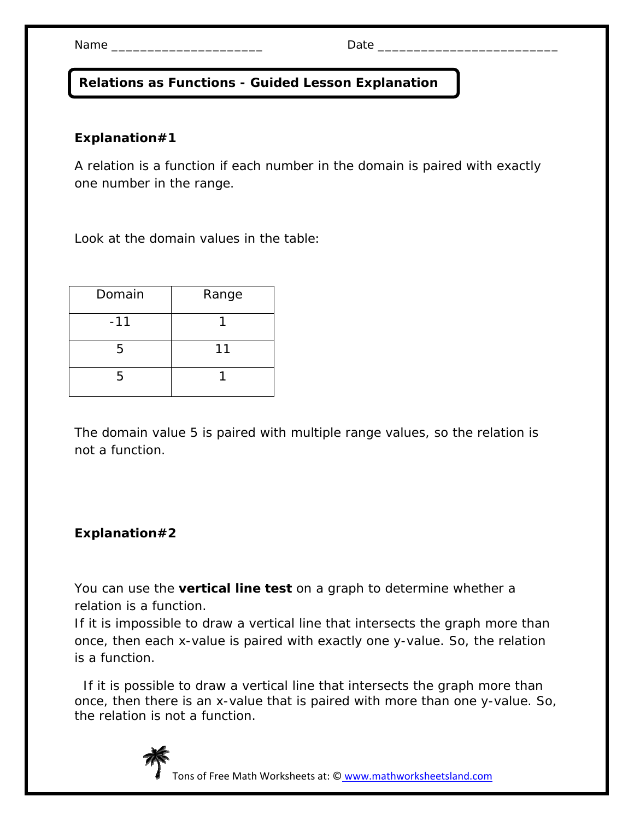**Relations as Functions - Guided Lesson Explanation** 

## **Explanation#1**

A relation is a function if each number in the domain is paired with exactly one number in the range.

Look at the domain values in the table:

| Domain | Range |
|--------|-------|
| $-11$  |       |
| 5      | 11    |
| 5      |       |

The domain value 5 is paired with multiple range values, so the relation is not a function.

## **Explanation#2**

You can use the **vertical line test** on a graph to determine whether a relation is a function.

If it is impossible to draw a vertical line that intersects the graph more than once, then each *x*-value is paired with exactly one *y*-value. So, the relation is a function.

 If it is possible to draw a vertical line that intersects the graph more than once, then there is an *x*-value that is paired with more than one *y*-value. So, the relation is not a function.



Tons of Free Math Worksheets at: © www.mathworksheetsland.com